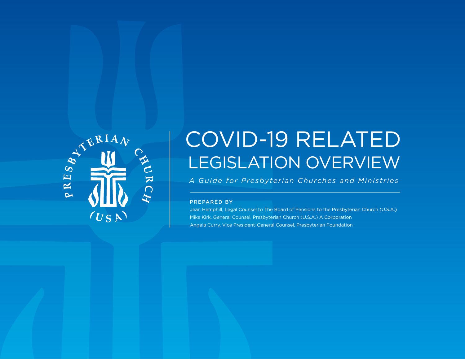

# COVID-19 RELATED LEGISLATION OVERVIEW

*A Guide for Presbyterian Churches and Ministries*

#### PREPARED BY

Jean Hemphill, Legal Counsel to The Board of Pensions to the Presbyterian Church (U.S.A.) Mike Kirk, General Counsel, Presbyterian Church (U.S.A.) A Corporation Angela Curry, Vice President-General Counsel, Presbyterian Foundation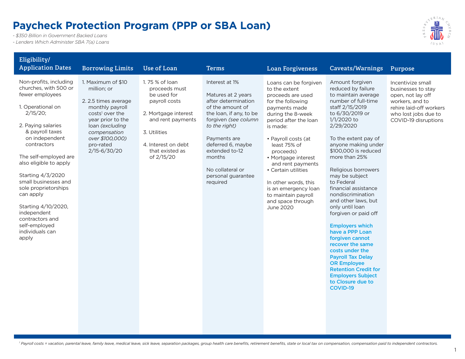#### **Paycheck Protection Program (PPP or SBA Loan)**

*- \$350 Billion in Government Backed Loans*

*- Lenders Which Administer SBA 7(a) Loans*



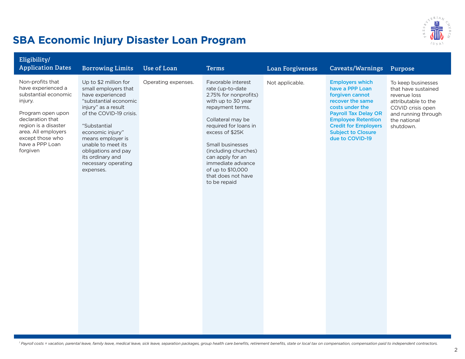

#### **SBA Economic Injury Disaster Loan Program**

| Eligibility/<br><b>Application Dates</b>                                                                                                                                                                             | <b>Borrowing Limits</b>                                                                                                                                                                                                                                                                                    | <b>Use of Loan</b>  | <b>Terms</b>                                                                                                                                                                                                                                                                                                               | <b>Loan Forgiveness</b> | Caveats/Warnings                                                                                                                                                                                                                               | Purpose                                                                                                                                                   |
|----------------------------------------------------------------------------------------------------------------------------------------------------------------------------------------------------------------------|------------------------------------------------------------------------------------------------------------------------------------------------------------------------------------------------------------------------------------------------------------------------------------------------------------|---------------------|----------------------------------------------------------------------------------------------------------------------------------------------------------------------------------------------------------------------------------------------------------------------------------------------------------------------------|-------------------------|------------------------------------------------------------------------------------------------------------------------------------------------------------------------------------------------------------------------------------------------|-----------------------------------------------------------------------------------------------------------------------------------------------------------|
| Non-profits that<br>have experienced a<br>substantial economic<br>injury.<br>Program open upon<br>declaration that<br>region is a disaster<br>area. All employers<br>except those who<br>have a PPP Loan<br>forgiven | Up to \$2 million for<br>small employers that<br>have experienced<br>"substantial economic<br>injury" as a result<br>of the COVID-19 crisis.<br>"Substantial<br>economic injury"<br>means employer is<br>unable to meet its<br>obligations and pay<br>its ordinary and<br>necessary operating<br>expenses. | Operating expenses. | Favorable interest<br>rate (up-to-date<br>2.75% for nonprofits)<br>with up to 30 year<br>repayment terms.<br>Collateral may be<br>required for loans in<br>excess of \$25K<br>Small businesses<br>(including churches)<br>can apply for an<br>immediate advance<br>of up to \$10,000<br>that does not have<br>to be repaid | Not applicable.         | <b>Employers which</b><br>have a PPP Loan<br>forgiven cannot<br>recover the same<br>costs under the<br><b>Payroll Tax Delay OR</b><br><b>Employee Retention</b><br><b>Credit for Employers</b><br><b>Subject to Closure</b><br>due to COVID-19 | To keep businesses<br>that have sustained<br>revenue loss<br>attributable to the<br>COVID crisis open<br>and running through<br>the national<br>shutdown. |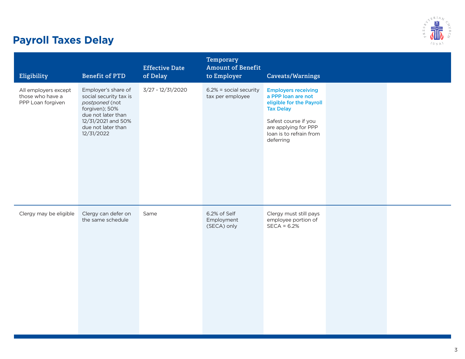

# **Payroll Taxes Delay**

| Eligibility                                                   | <b>Benefit of PTD</b>                                                                                                                                             | <b>Effective Date</b><br>of Delay | Temporary<br><b>Amount of Benefit</b><br>to Employer | Caveats/Warnings                                                                                                                                                                         |  |
|---------------------------------------------------------------|-------------------------------------------------------------------------------------------------------------------------------------------------------------------|-----------------------------------|------------------------------------------------------|------------------------------------------------------------------------------------------------------------------------------------------------------------------------------------------|--|
| All employers except<br>those who have a<br>PPP Loan forgiven | Employer's share of<br>social security tax is<br>postponed (not<br>forgiven); 50%<br>due not later than<br>12/31/2021 and 50%<br>due not later than<br>12/31/2022 | 3/27 - 12/31/2020                 | $6.2\%$ = social security<br>tax per employee        | <b>Employers receiving</b><br>a PPP loan are not<br>eligible for the Payroll<br><b>Tax Delay</b><br>Safest course if you<br>are applying for PPP<br>loan is to refrain from<br>deferring |  |
| Clergy may be eligible                                        | Clergy can defer on<br>the same schedule                                                                                                                          | Same                              | 6.2% of Self<br>Employment<br>(SECA) only            | Clergy must still pays<br>employee portion of<br>$SECA = 6.2%$                                                                                                                           |  |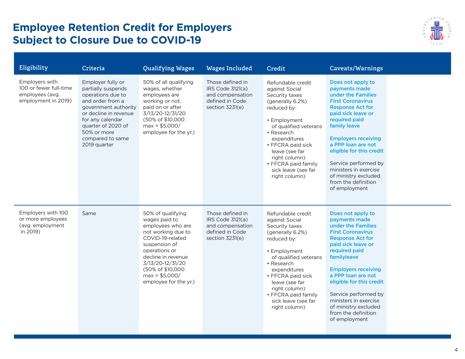#### **Employee Retention Credit for Employers Subject to Closure Due to COVID-19**



| Eligibility                                                                        | Criteria                                                                                                                                                                                                                       | <b>Qualifying Wages</b>                                                                                                                                                                                                                       | <b>Wages Included</b>                                                                          | Credit                                                                                                                                                                                                                                                                                 | <b>Caveats/Warnings</b>                                                                                                                                                                                                                                                                                                                                                 |
|------------------------------------------------------------------------------------|--------------------------------------------------------------------------------------------------------------------------------------------------------------------------------------------------------------------------------|-----------------------------------------------------------------------------------------------------------------------------------------------------------------------------------------------------------------------------------------------|------------------------------------------------------------------------------------------------|----------------------------------------------------------------------------------------------------------------------------------------------------------------------------------------------------------------------------------------------------------------------------------------|-------------------------------------------------------------------------------------------------------------------------------------------------------------------------------------------------------------------------------------------------------------------------------------------------------------------------------------------------------------------------|
| Employers with<br>100 or fewer full-time<br>employees (avg.<br>employment in 2019) | Employer fully or<br>partially suspends<br>operations due to<br>and order from a<br>government authority<br>or decline in revenue<br>for any calendar<br>quarter of 2020 of<br>50% or more<br>compared to same<br>2019 quarter | 50% of all qualifying<br>wages, whether<br>employees are<br>working or not,<br>paid on or after<br>3/13/20-12/31/20<br>(50% of \$10,000<br>$max = $5,000/$<br>employee for the yr.)                                                           | Those defined in<br>IRS Code 3121(a)<br>and compensation<br>defined in Code<br>section 3231(e) | Refundable credit<br>against Social<br>Security taxes<br>(generally 6.2%)<br>reduced by:<br>• Employment<br>of qualified veterans<br>• Research<br>expenditures<br>• FFCRA paid sick<br>leave (see far<br>right column)<br>• FFCRA paid family<br>sick leave (see far<br>right column) | Does not apply to<br>payments made<br>under the Families<br><b>First Coronavirus</b><br><b>Response Act for</b><br>paid sick leave or<br>required paid<br>family leave<br><b>Employers receiving</b><br>a PPP loan are not<br>eligible for this credit<br>Service performed by<br>ministers in exercise<br>of ministry excluded<br>from the definition<br>of employment |
| Employers with 100<br>or more employees<br>(avg. employment<br>in 2019)            | Same                                                                                                                                                                                                                           | 50% of qualifying<br>wages paid to<br>employees who are<br>not working due to<br>COVID-19-related<br>suspension of<br>operations or<br>decline in revenue<br>3/13/20-12/31/20<br>(50% of \$10,000<br>$max = $5,000/$<br>employee for the yr.) | Those defined in<br>IRS Code 3121(a)<br>and compensation<br>defined in Code<br>section 3231(e) | Refundable credit<br>against Social<br>Security taxes<br>(generally 6.2%)<br>reduced by:<br>• Employment<br>of qualified veterans<br>• Research<br>expenditures<br>• FFCRA paid sick<br>leave (see far<br>right column)<br>• FFCRA paid family<br>sick leave (see far<br>right column) | Does not apply to<br>payments made<br>under the Families<br><b>First Coronavirus</b><br><b>Response Act for</b><br>paid sick leave or<br>required paid<br>familyleave<br><b>Employers receiving</b><br>a PPP loan are not<br>eligible for this credit<br>Service performed by<br>ministers in exercise<br>of ministry excluded<br>from the definition<br>of employment  |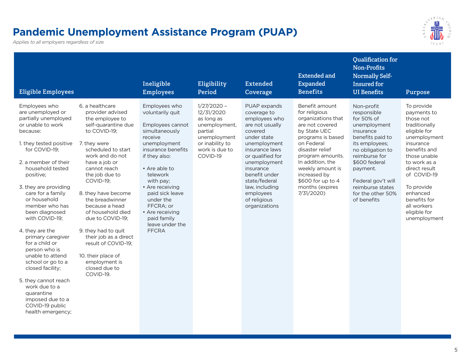#### **Pandemic Unemployment Assistance Program (PUAP)**

*Applies to all employers regardless of size*

|   | $RIA_{A}$ |   |
|---|-----------|---|
|   |           |   |
| œ |           | ٢ |
|   | Ш         |   |
|   |           |   |
|   | US<br>ſ   |   |

|                                                                                                                                                                                                                                                                                                                                                                                                                                                                                                                                                                                                                                                                                                                                                                                                                                                                                                                                                                                                                                                                                                                                                                                                                                                                                                                                                                                                                                                                                                                                                                                                                                                                                                                                                                                                                                                                                                                                                                                                                                                                                                                                                                                                                                                                                                                                                                      | Purpose                                                                                                                                                                                                                                                                       |
|----------------------------------------------------------------------------------------------------------------------------------------------------------------------------------------------------------------------------------------------------------------------------------------------------------------------------------------------------------------------------------------------------------------------------------------------------------------------------------------------------------------------------------------------------------------------------------------------------------------------------------------------------------------------------------------------------------------------------------------------------------------------------------------------------------------------------------------------------------------------------------------------------------------------------------------------------------------------------------------------------------------------------------------------------------------------------------------------------------------------------------------------------------------------------------------------------------------------------------------------------------------------------------------------------------------------------------------------------------------------------------------------------------------------------------------------------------------------------------------------------------------------------------------------------------------------------------------------------------------------------------------------------------------------------------------------------------------------------------------------------------------------------------------------------------------------------------------------------------------------------------------------------------------------------------------------------------------------------------------------------------------------------------------------------------------------------------------------------------------------------------------------------------------------------------------------------------------------------------------------------------------------------------------------------------------------------------------------------------------------|-------------------------------------------------------------------------------------------------------------------------------------------------------------------------------------------------------------------------------------------------------------------------------|
| 6. a healthcare<br>$1/27/2020 -$<br>Benefit amount<br>Employees who<br>Employees who<br>PUAP expands<br>Non-profit<br>12/31/2020<br>are unemployed or<br>provider advised<br>voluntarily quit<br>coverage to<br>for religious<br>responsible<br>for 50% of<br>partially unemployed<br>the employee to<br>as long as<br>employees who<br>organizations that<br>or unable to work<br>self-quarantine due<br>Employees cannot<br>are not usually<br>are not covered<br>unemployment,<br>unemployment<br>because:<br>to COVID-19;<br>simultaneously<br>covered<br>by State UEC<br>insurance<br>partial<br>receive<br>under state<br>benefits paid to<br>unemployment<br>programs is based<br>1. they tested positive<br>or inability to<br>7. they were<br>unemployment<br>unemployment<br>on Federal<br>its employees;<br>disaster relief<br>for COVID-19;<br>scheduled to start<br>insurance benefits<br>work is due to<br>insurance laws<br>no obligation to<br>reimburse for<br>work and do not<br>if they also:<br>COVID-19<br>or qualified for<br>program amounts.<br>2. a member of their<br>In addition, the<br>\$600 federal<br>have a job or<br>unemployment<br>household tested<br>• Are able to<br>weekly amount is<br>insurance<br>cannot reach<br>payment.<br>telework<br>positive;<br>the job due to<br>benefit under<br>increased by<br>\$600 for up to 4<br>COVID-19;<br>state/federal<br>Federal gov't will<br>with pay:<br>3. they are providing<br>• Are receiving<br>months (expires<br>law, including<br>reimburse states<br>care for a family<br>8. they have become<br>paid sick leave<br>7/31/2020)<br>employees<br>for the other 50%<br>or household<br>the breadwinner<br>under the<br>of religious<br>of benefits<br>member who has<br>organizations<br>because a head<br>FFCRA; or<br>been diagnosed<br>of household died<br>• Are receiving<br>with COVID-19;<br>paid family<br>due to COVID-19;<br>leave under the<br>4. they are the<br>9. they had to quit<br><b>FFCRA</b><br>their job as a direct<br>primary caregiver<br>for a child or<br>result of COVID-19;<br>person who is<br>unable to attend<br>10. their place of<br>school or go to a<br>employment is<br>closed facility;<br>closed due to<br>COVID-19.<br>5. they cannot reach<br>work due to a<br>quarantine<br>imposed due to a<br>COVID-19 public<br>health emergency; | To provide<br>payments to<br>those not<br>traditionally<br>eligible for<br>unemployment<br>insurance<br>benefits and<br>those unable<br>to work as a<br>direct result<br>of COVID-19<br>To provide<br>enhanced<br>benefits for<br>all workers<br>eligible for<br>unemployment |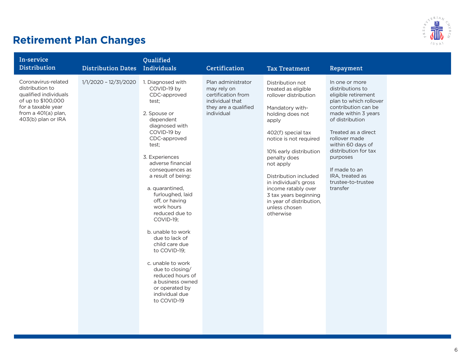

# **Retirement Plan Changes**

| In-service<br><b>Distribution</b>                                                                                                                        | <b>Distribution Dates</b> | <b>Qualified</b><br>Individuals                                                                                                                                                                                                                                                                                                                                                                                                                                                                                                                    | Certification                                                                                                    | <b>Tax Treatment</b>                                                                                                                                                                                                                                                                                                                                                                | Repayment                                                                                                                                                                                                                                                                                                                   |  |
|----------------------------------------------------------------------------------------------------------------------------------------------------------|---------------------------|----------------------------------------------------------------------------------------------------------------------------------------------------------------------------------------------------------------------------------------------------------------------------------------------------------------------------------------------------------------------------------------------------------------------------------------------------------------------------------------------------------------------------------------------------|------------------------------------------------------------------------------------------------------------------|-------------------------------------------------------------------------------------------------------------------------------------------------------------------------------------------------------------------------------------------------------------------------------------------------------------------------------------------------------------------------------------|-----------------------------------------------------------------------------------------------------------------------------------------------------------------------------------------------------------------------------------------------------------------------------------------------------------------------------|--|
| Coronavirus-related<br>distribution to<br>qualified individuals<br>of up to \$100,000<br>for a taxable year<br>from a 401(a) plan,<br>403(b) plan or IRA | 1/1/2020 - 12/31/2020     | 1. Diagnosed with<br>COVID-19 by<br>CDC-approved<br>test;<br>2. Spouse or<br>dependent<br>diagnosed with<br>COVID-19 by<br>CDC-approved<br>test:<br>3. Experiences<br>adverse financial<br>consequences as<br>a result of being:<br>a. quarantined,<br>furloughed, laid<br>off, or having<br>work hours<br>reduced due to<br>COVID-19;<br>b. unable to work<br>due to lack of<br>child care due<br>to COVID-19;<br>c. unable to work<br>due to closing/<br>reduced hours of<br>a business owned<br>or operated by<br>individual due<br>to COVID-19 | Plan administrator<br>may rely on<br>certification from<br>individual that<br>they are a qualified<br>individual | Distribution not<br>treated as eligible<br>rollover distribution<br>Mandatory with-<br>holding does not<br>apply<br>402(f) special tax<br>notice is not required<br>10% early distribution<br>penalty does<br>not apply<br>Distribution included<br>in individual's gross<br>income ratably over<br>3 tax years beginning<br>in year of distribution,<br>unless chosen<br>otherwise | In one or more<br>distributions to<br>eligible retirement<br>plan to which rollover<br>contribution can be<br>made within 3 years<br>of distribution<br>Treated as a direct<br>rollover made<br>within 60 days of<br>distribution for tax<br>purposes<br>If made to an<br>IRA, treated as<br>trustee-to-trustee<br>transfer |  |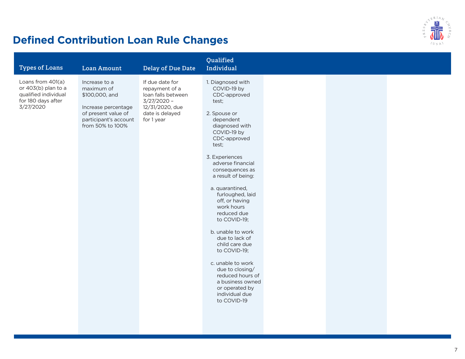

# **Defined Contribution Loan Rule Changes**

| Loans from 401(a)<br>If due date for<br>1. Diagnosed with<br>Increase to a<br>or 403(b) plan to a<br>COVID-19 by<br>maximum of<br>repayment of a<br>qualified individual<br>\$100,000, and<br>loan falls between<br>CDC-approved<br>for 180 days after<br>$3/27/2020 -$<br>test;<br>3/27/2020<br>12/31/2020, due<br>Increase percentage<br>of present value of<br>date is delayed<br>2. Spouse or<br>participant's account<br>for 1 year<br>dependent<br>from 50% to 100%<br>diagnosed with<br>COVID-19 by<br>CDC-approved<br>test;<br>3. Experiences<br>adverse financial<br>consequences as<br>a result of being:<br>a. quarantined,<br>furloughed, laid<br>off, or having<br>work hours<br>reduced due<br>to COVID-19;<br>b. unable to work<br>due to lack of<br>child care due<br>to COVID-19;<br>c. unable to work<br>due to closing/<br>reduced hours of<br>a business owned<br>or operated by<br>individual due<br>to COVID-19 | <b>Types of Loans</b> | <b>Loan Amount</b> | <b>Delay of Due Date</b> | Qualified<br>Individual |  |  |
|---------------------------------------------------------------------------------------------------------------------------------------------------------------------------------------------------------------------------------------------------------------------------------------------------------------------------------------------------------------------------------------------------------------------------------------------------------------------------------------------------------------------------------------------------------------------------------------------------------------------------------------------------------------------------------------------------------------------------------------------------------------------------------------------------------------------------------------------------------------------------------------------------------------------------------------|-----------------------|--------------------|--------------------------|-------------------------|--|--|
|                                                                                                                                                                                                                                                                                                                                                                                                                                                                                                                                                                                                                                                                                                                                                                                                                                                                                                                                       |                       |                    |                          |                         |  |  |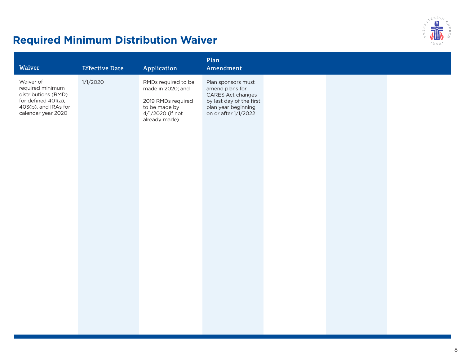

# **Required Minimum Distribution Waiver**

| Waiver                                                                                                                    | <b>Effective Date</b> | Application                                                                                                          | Plan<br>Amendment                                                                                                                     |  |  |
|---------------------------------------------------------------------------------------------------------------------------|-----------------------|----------------------------------------------------------------------------------------------------------------------|---------------------------------------------------------------------------------------------------------------------------------------|--|--|
| Waiver of<br>required minimum<br>distributions (RMD)<br>for defined 401(a),<br>403(b), and IRAs for<br>calendar year 2020 | 1/1/2020              | RMDs required to be<br>made in 2020; and<br>2019 RMDs required<br>to be made by<br>4/1/2020 (if not<br>already made) | Plan sponsors must<br>amend plans for<br>CARES Act changes<br>by last day of the first<br>plan year beginning<br>on or after 1/1/2022 |  |  |
|                                                                                                                           |                       |                                                                                                                      |                                                                                                                                       |  |  |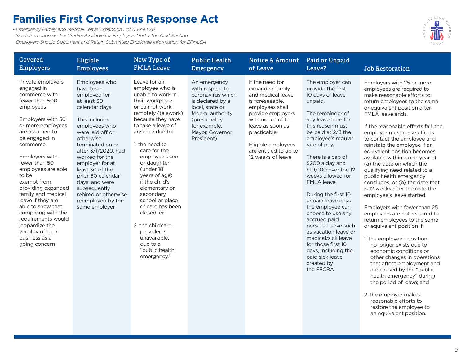#### **Families First Coronvirus Response Act**

*- Emergency Family and Medical Leave Expansion Act (EFMLEA)*

*- See Information on Tax Credits Available for Employers Under the Next Section*

*- Employers Should Document and Retain Submitted Employee Information for EFMLEA*



| <b>Covered</b>                                                                                                                                                                                                                                                                                                                                                                                                                                                        | Eligible                                                                                                                                                                                                                                                                                                                                                              | New Type of                                                                                                                                                                                                                                                                                                                                                                                                                                                                          | <b>Public Health</b>                                                                                                                                                                | <b>Notice &amp; Amount</b>                                                                                                                                                                                                                      | Paid or Unpaid                                                                                                                                                                                                                                                                                                                                                                                                                                                                                                                                                          | <b>Job Restoration</b>                                                                                                                                                                                                                                                                                                                                                                                                                                                                                                                                                                                                                                                                                                                                                                                                                                                                                                                                                                                                                               |
|-----------------------------------------------------------------------------------------------------------------------------------------------------------------------------------------------------------------------------------------------------------------------------------------------------------------------------------------------------------------------------------------------------------------------------------------------------------------------|-----------------------------------------------------------------------------------------------------------------------------------------------------------------------------------------------------------------------------------------------------------------------------------------------------------------------------------------------------------------------|--------------------------------------------------------------------------------------------------------------------------------------------------------------------------------------------------------------------------------------------------------------------------------------------------------------------------------------------------------------------------------------------------------------------------------------------------------------------------------------|-------------------------------------------------------------------------------------------------------------------------------------------------------------------------------------|-------------------------------------------------------------------------------------------------------------------------------------------------------------------------------------------------------------------------------------------------|-------------------------------------------------------------------------------------------------------------------------------------------------------------------------------------------------------------------------------------------------------------------------------------------------------------------------------------------------------------------------------------------------------------------------------------------------------------------------------------------------------------------------------------------------------------------------|------------------------------------------------------------------------------------------------------------------------------------------------------------------------------------------------------------------------------------------------------------------------------------------------------------------------------------------------------------------------------------------------------------------------------------------------------------------------------------------------------------------------------------------------------------------------------------------------------------------------------------------------------------------------------------------------------------------------------------------------------------------------------------------------------------------------------------------------------------------------------------------------------------------------------------------------------------------------------------------------------------------------------------------------------|
| <b>Employers</b>                                                                                                                                                                                                                                                                                                                                                                                                                                                      | <b>Employees</b>                                                                                                                                                                                                                                                                                                                                                      | <b>FMLA Leave</b>                                                                                                                                                                                                                                                                                                                                                                                                                                                                    | Emergency                                                                                                                                                                           | of Leave                                                                                                                                                                                                                                        | Leave?                                                                                                                                                                                                                                                                                                                                                                                                                                                                                                                                                                  |                                                                                                                                                                                                                                                                                                                                                                                                                                                                                                                                                                                                                                                                                                                                                                                                                                                                                                                                                                                                                                                      |
| Private employers<br>engaged in<br>commerce with<br>fewer than 500<br>employees<br>Employers with 50<br>or more employees<br>are assumed to<br>be engaged in<br>commerce<br>Employers with<br>fewer than 50<br>employees are able<br>to be<br>exempt from<br>providing expanded<br>family and medical<br>leave if they are<br>able to show that<br>complying with the<br>requirements would<br>jeopardize the<br>viability of their<br>business as a<br>going concern | Employees who<br>have been<br>employed for<br>at least 30<br>calendar days<br>This includes<br>employees who<br>were laid off or<br>otherwise<br>terminated on or<br>after 3/1/2020, had<br>worked for the<br>employer for at<br>least 30 of the<br>prior 60 calendar<br>days, and were<br>subsequently<br>rehired or otherwise<br>reemployed by the<br>same employer | Leave for an<br>employee who is<br>unable to work in<br>their workplace<br>or cannot work<br>remotely (telework)<br>because they have<br>to take a leave of<br>absence due to:<br>1. the need to<br>care for the<br>employee's son<br>or daughter<br>(under 18<br>years of age)<br>if the child's<br>elementary or<br>secondary<br>school or place<br>of care has been<br>closed, or<br>2. the childcare<br>provider is<br>unavailable,<br>due to a<br>"public health<br>emergency." | An emergency<br>with respect to<br>coronavirus which<br>is declared by a<br>local, state or<br>federal authority<br>(presumably,<br>for example,<br>Mayor, Governor,<br>President). | If the need for<br>expanded family<br>and medical leave<br>is foreseeable,<br>employees shall<br>provide employers<br>with notice of the<br>leave as soon as<br>practicable<br>Eligible employees<br>are entitled to up to<br>12 weeks of leave | The employer can<br>provide the first<br>10 days of leave<br>unpaid,<br>The remainder of<br>any leave time for<br>this reason must<br>be paid at 2/3 the<br>employee's regular<br>rate of pay.<br>There is a cap of<br>\$200 a day and<br>\$10,000 over the 12<br>weeks allowed for<br>FMLA leave.<br>During the first 10<br>unpaid leave days<br>the employee can<br>choose to use any<br>accrued paid<br>personal leave such<br>as vacation leave or<br>medical/sick leave<br>for those first 10<br>days, including the<br>paid sick leave<br>created by<br>the FFCRA | Employers with 25 or more<br>employees are required to<br>make reasonable efforts to<br>return employees to the same<br>or equivalent position after<br>FMLA leave ends.<br>If the reasonable efforts fail, the<br>employer must make efforts<br>to contact the employee and<br>reinstate the employee if an<br>equivalent position becomes<br>available within a one-year of:<br>(a) the date on which the<br>qualifying need related to a<br>public health emergency<br>concludes, or (b) the date that<br>is 12 weeks after the date the<br>employee's leave started.<br>Employers with fewer than 25<br>employees are not required to<br>return employees to the same<br>or equivalent position if:<br>1. the employee's position<br>no longer exists due to<br>economic conditions or<br>other changes in operations<br>that affect employment and<br>are caused by the "public<br>health emergency" during<br>the period of leave; and<br>2. the employer makes<br>reasonable efforts to<br>restore the employee to<br>an equivalent position. |